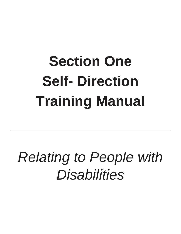# **Section One Self- Direction Training Manual**

# *Relating to People with Disabilities*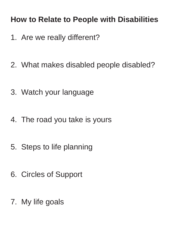## **How to Relate to People with Disabilities**

- 1. Are we really different?
- 2. What makes disabled people disabled?
- 3. Watch your language
- 4. The road you take is yours
- 5. Steps to life planning
- 6. Circles of Support
- 7. My life goals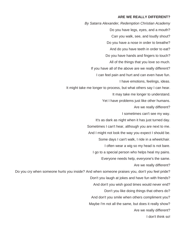#### **ARE WE REALLY DIFFERENT?**

*By Satarra Alexander, Redemption Christian Academy*  Do you have legs, eyes, and a mouth? Can you walk, see, and loudly shout? Do you have a nose in order to breathe? And do you have teeth in order to eat? Do you have hands and fingers to touch? All of the things that you love so much. If you have all of the above are we really different? I can feel pain and hurt and can even have fun. I have emotions, feelings, ideas. It might take me longer to process, but what others say I can hear. It may take me longer to understand. Yet I have problems just like other humans. Are we really different? I sometimes can't see my way. It's as dark as night when it has just turned day. Sometimes I can't hear, although you are next to me. And I might not look the way you expect I should be. Some days I can't walk, I ride in a wheelchair. I often wear a wig so my head is not bare. I go to a special person who helps heal my pains. Everyone needs help, everyone's the same. Are we really different? Do you cry when someone hurts you inside? And when someone praises you, don't you feel pride? Don't you laugh at jokes and have fun with friends? And don't you wish good times would never end? Don't you like doing things that others do? And don't you smile when others compliment you? Maybe I'm not all the same, but does it really show? Are we really different? I don't think so!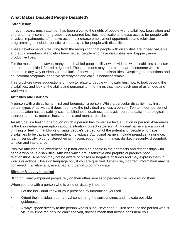### **What Makes Disabled People Disabled?**

### **Introduction**

In recent years, much attention has been given to the rights of people with disabilities. Legislation and efforts of many consumer groups have spurred facilities modifications to ease access for people with physical impairments, affirmative action to increase employment opportunities and television programming to include realistic role portrayals for people with disabilities.

These developments - resulting from the recognition that people with disabilities are indeed valuable and equal members of society - have helped people who have disabilities lead happier, more productive lives.

For the most part, however, many non-disabled people still view individuals with disabilities as lesser people - to be pitied, feared or ignored. These attitudes may arise from fear of someone who is different in any way or simply from a lack of knowledge about disabilities. Despite good intentions and educational programs, negative stereotypes and callous behavior remain.

This brochure gives suggestions on how to relate to people with disabilities, how to look beyond the disabilities, and look at the ability and personality - the things that make each one of us unique and worthwhile.

### **Attitudes and Barriers**

A person with a disability is - first and foremost - a person. While a particular disability may limit certain types of activities, it does not make the individual any less a person. Ten to fifteen percent of the population has a disability such as blindness, deafness, paralysis, cerebral palsy, neurological disorder, arthritis, mental illness, arthritis and mental retardation.

An attitude is a feeling or emotion which a person has towards a fact, situation or person. Awareness is the knowledge or perception about a situation, object or person. Attitudinal barriers are a way of thinking or feeling that blocks or limits people's perception of the potential of people who have disabilities to be capable, independent individuals. Attitudinal barriers include prejudice, ignorance, fear, insensitivity, bigotry, stereotyping, misconception, discrimination, dislike, insecurity, discomfort, tension and intolerance.

Positive attitudes and awareness help non-disabled people in their contacts and relationships with people who have disabilities. Attitudes which are insensitive and prejudicial produce poor relationships. A person may not be aware of biases or negative attitudes and may express them in words or actions. Use sign language only if you are qualified. Otherwise, incorrect information may be conveyed. If all else fails, use a pad and pencil to communicate.

### **Blind or Visually Impaired**

Blind or visually-impaired people rely on their other senses to perceive the world round them.

When you are with a person who is blind or visually impaired:

- Let the individual know of your presence by introducing yourself.
- Orient the individual upon arrival concerning the surroundings and indicate possible guideposts.
- Always speak directly to the person who is blind. Never shout! Just because the person who is visually- impaired or blind can't see you, doesn't mean that he/she can't hear you.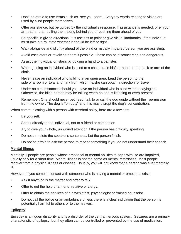- Don't be afraid to use terms such as "see you soon". Everyday words relating to vision are used by blind people themselves.
- Offer assistance, but be guided by the individual's response. If assistance is needed, offer your arm rather than pulling them along behind you or pushing them ahead of you.
- Be specific in giving directions. It is useless to point or give visual landmarks. If the individual must take a turn, state whether it should be left or right.
- Walk alongside and slightly ahead of the blind or visually impaired person you are assisting.
- Avoid escalators or revolving doors if possible. These can be disconcerting and dangerous.
- Assist the individual on stairs by guiding a hand to a banister.
- When guiding an individual who is blind to a chair, place his/her hand on the back or arm of the chair.
- Never leave an individual who is blind in an open area. Lead the person to the side of a room or to a landmark from which he/she can obtain a direction for travel.
- Under no circumstances should you leave an individual who is blind without saying so! Otherwise, the blind person may be talking when no one is listening or even present.
- Remember: One should never pet, feed, talk to or call the dog guide without the permission from the owner. The dog is "on duty" and this may disrupt the dog's concentration.

When communicating with a person with cerebral palsy, here are a few tips:

- Be yourself.
- Speak directly to the individual, not to a friend or companion.
- Try to give your whole, unhurried attention if the person has difficulty speaking.
- Do not complete the speaker's sentences. Let the person finish.
- Do not be afraid to ask the person to repeat something if you do not understand their speech.

### **Mental Illness**

Mentally ill people are people whose emotional or mental abilities to cope with life are impaired, usually only for a short time. Mental illness is not the same as mental retardation. Most people recover from a physical illness or disease. Usually, you will not know that a person was ever mentally ill.

However, if you come in contact with someone who is having a mental or emotional crisis:

- Ask if anything is the matter and offer to talk.
- Offer to get the help of a friend, relative or clergy.
- Offer to obtain the services of a psychiatrist, psychologist or trained counselor.
- Do not call the police or an ambulance unless there is a clear indication that the person is potentially harmful to others or to themselves.

### **Epilepsy**

Epilepsy is a hidden disability and is a disorder of the central nervous system. Seizures are a primary characteristic of epilepsy, but they often can be controlled or prevented by the use of medication.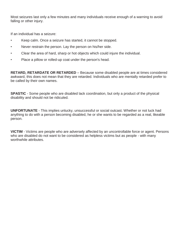Most seizures last only a few minutes and many individuals receive enough of a warning to avoid falling or other injury.

If an individual has a seizure:

- Keep calm. Once a seizure has started, it cannot be stopped.
- Never restrain the person. Lay the person on his/her side.
- Clear the area of hard, sharp or hot objects which could injure the individual.
- Place a pillow or rolled-up coat under the person's head.

**RETARD, RETARDATE OR RETARDED** – Because some disabled people are at times considered awkward, this does not mean that they are retarded. Individuals who are mentally retarded prefer to be called by their own names.

**SPASTIC** - Some people who are disabled lack coordination, but only a product of the physical disability and should not be ridiculed.

**UNFORTUNATE** - This implies unlucky, unsuccessful or social outcast. Whether or not luck had anything to do with a person becoming disabled, he or she wants to be regarded as a real, likeable person.

**VICTIM** - Victims are people who are adversely affected by an uncontrollable force or agent. Persons who are disabled do not want to be considered as helpless victims but as people - with many worthwhile attributes.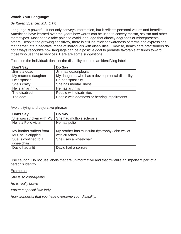### **Watch Your Language!**

### *By Karen Spencer, MA, OTR*

Language is powerful. It not only conveys information, but it reflects personal values and benefits. Americans have learned over the years how words can be used to convey racism, sexism and other stereotypes. Most people take pains to avoid language that directly degrades or misrepresents others. Despite the growing sensitivity, there is still insufficient awareness of terms and expressions that perpetuate a negative image of individuals with disabilities. Likewise, health care practitioners do not always recognize how language can be a positive goal to promote favorable attitudes toward those who use these services. Here are some suggestions:

| Don't Say            | Do Say                                          |
|----------------------|-------------------------------------------------|
| Jim is a quad        | Jim has quadriplegia                            |
| My retarded daughter | My daughter, who has a developmental disability |
| He's spastic         | He has spasticity                               |
| She's crazy          | She has mental illness                          |
| He is an arthritic   | He has arthritis                                |
| The disabled         | People with disabilities                        |
| The deaf             | People with deafness or hearing impairments     |

Focus on the individual; don't let the disability become an identifying label.

Avoid pitying and pejorative phrases

| Don't Say                                     | Do Say                                                        |
|-----------------------------------------------|---------------------------------------------------------------|
| She was stricken with MS                      | She had multiple sclerosis                                    |
| He is a Polio victim                          | He has polio                                                  |
| My brother suffers from<br>MD, he is crippled | My brother has muscular dystrophy John walks<br>with crutches |
| Sue is confined to a<br>wheelchair            | She uses a wheelchair                                         |
| David had a fit                               | David had a seizure                                           |

Use caution. Do not use labels that are uninformative and that trivialize an important part of a person's identity.

Examples:

*She is so courageous* 

*He is really brave* 

*You're a special little lady* 

*How wonderful that you have overcome your disability!*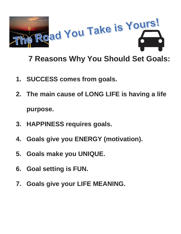

## **7 Reasons Why You Should Set Goals:**

- **1. SUCCESS comes from goals.**
- **2. The main cause of LONG LIFE is having a life purpose.**
- **3. HAPPINESS requires goals.**
- **4. Goals give you ENERGY (motivation).**
- **5. Goals make you UNIQUE.**
- **6. Goal setting is FUN.**
- **7. Goals give your LIFE MEANING.**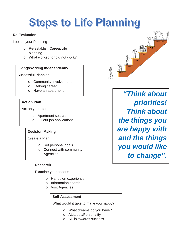# **Steps to Life Planning**

### **Re-Evaluation**

Look at your Planning

- o Re-establish Career/Life planning
- o What worked, or did not work?

### **Living/Working Independently**

Successful Planning

- o Community Involvement
- o Lifelong career
- o Have an apartment

### **Action Plan**

Act on your plan

- o Apartment search
- o Fill out job applications

### **Decision Making**

Create a Plan

- o Set personal goals
- o Connect with community Agencies

#### **Research**

Examine your options

- o Hands on experience
- o Information search
- o Visit Agencies

#### **Self-Assessment**

What would it take to make you happy?

- o What dreams do you have?
- o Attitudes/Personality
- o Skills towards success



*"Think about priorities! Think about the things you are happy with and the things you would like to change".*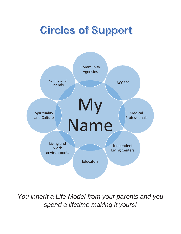# **Circles of Support**



*You inherit a Life Model from your parents and you spend a lifetime making it yours!*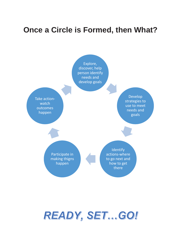### **Once a Circle is Formed, then What?**



# READY, SET...GO!